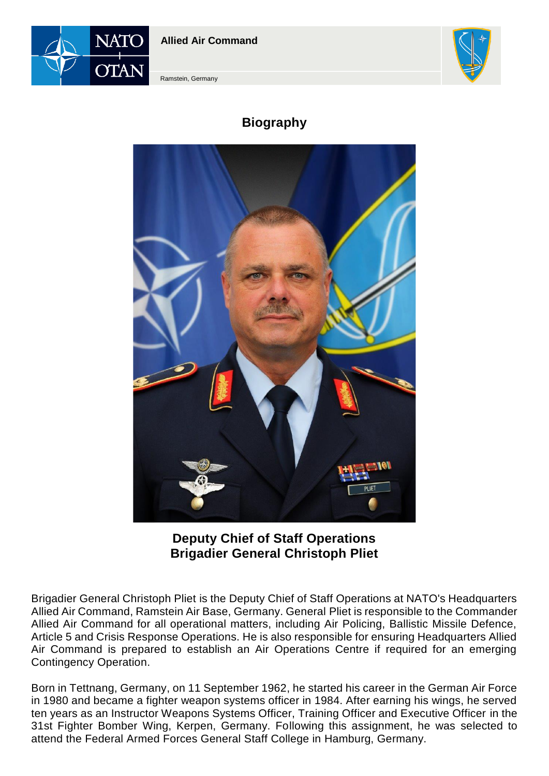



Ramstein, Germany

# **Biography**



**Deputy Chief of Staff Operations Brigadier General Christoph Pliet**

Brigadier General Christoph Pliet is the Deputy Chief of Staff Operations at NATO's Headquarters Allied Air Command, Ramstein Air Base, Germany. General Pliet is responsible to the Commander Allied Air Command for all operational matters, including Air Policing, Ballistic Missile Defence, Article 5 and Crisis Response Operations. He is also responsible for ensuring Headquarters Allied Air Command is prepared to establish an Air Operations Centre if required for an emerging Contingency Operation.

Born in Tettnang, Germany, on 11 September 1962, he started his career in the German Air Force in 1980 and became a fighter weapon systems officer in 1984. After earning his wings, he served ten years as an Instructor Weapons Systems Officer, Training Officer and Executive Officer in the 31st Fighter Bomber Wing, Kerpen, Germany. Following this assignment, he was selected to attend the Federal Armed Forces General Staff College in Hamburg, Germany.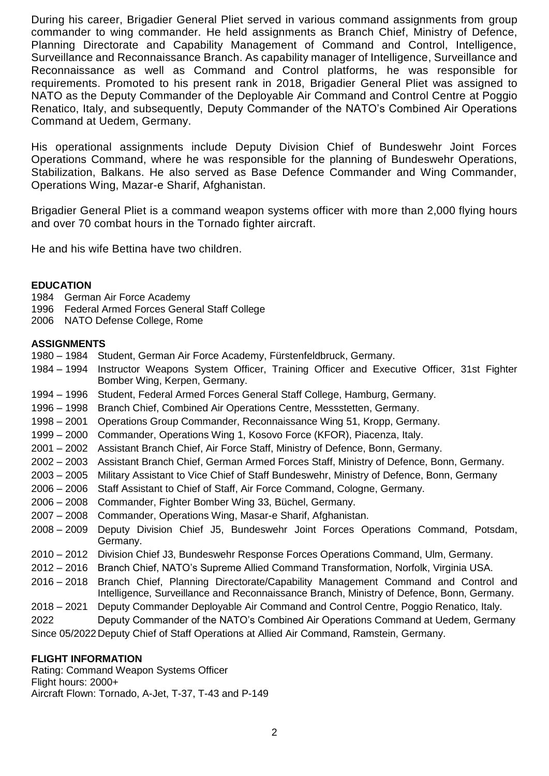During his career, Brigadier General Pliet served in various command assignments from group commander to wing commander. He held assignments as Branch Chief, Ministry of Defence, Planning Directorate and Capability Management of Command and Control, Intelligence, Surveillance and Reconnaissance Branch. As capability manager of Intelligence, Surveillance and Reconnaissance as well as Command and Control platforms, he was responsible for requirements. Promoted to his present rank in 2018, Brigadier General Pliet was assigned to NATO as the Deputy Commander of the Deployable Air Command and Control Centre at Poggio Renatico, Italy, and subsequently, Deputy Commander of the NATO's Combined Air Operations Command at Uedem, Germany.

His operational assignments include Deputy Division Chief of Bundeswehr Joint Forces Operations Command, where he was responsible for the planning of Bundeswehr Operations, Stabilization, Balkans. He also served as Base Defence Commander and Wing Commander, Operations Wing, Mazar-e Sharif, Afghanistan.

Brigadier General Pliet is a command weapon systems officer with more than 2,000 flying hours and over 70 combat hours in the Tornado fighter aircraft.

He and his wife Bettina have two children.

#### **EDUCATION**

- 1984 German Air Force Academy<br>1996 Federal Armed Forces Gene
- Federal Armed Forces General Staff College
- 2006 NATO Defense College, Rome

#### **ASSIGNMENTS**

- 1980 1984 Student, German Air Force Academy, Fürstenfeldbruck, Germany.
- 1984 1994 Instructor Weapons System Officer, Training Officer and Executive Officer, 31st Fighter Bomber Wing, Kerpen, Germany.
- 1994 1996 Student, Federal Armed Forces General Staff College, Hamburg, Germany.
- 1996 1998 Branch Chief, Combined Air Operations Centre, Messstetten, Germany.
- 1998 2001 Operations Group Commander, Reconnaissance Wing 51, Kropp, Germany.
- 1999 2000 Commander, Operations Wing 1, Kosovo Force (KFOR), Piacenza, Italy.
- 2001 2002 Assistant Branch Chief, Air Force Staff, Ministry of Defence, Bonn, Germany.
- 2002 2003 Assistant Branch Chief, German Armed Forces Staff, Ministry of Defence, Bonn, Germany.
- 2003 2005 Military Assistant to Vice Chief of Staff Bundeswehr, Ministry of Defence, Bonn, Germany
- 2006 2006 Staff Assistant to Chief of Staff, Air Force Command, Cologne, Germany.
- 2006 2008 Commander, Fighter Bomber Wing 33, Büchel, Germany.
- 2007 2008 Commander, Operations Wing, Masar-e Sharif, Afghanistan.
- 2008 2009 Deputy Division Chief J5, Bundeswehr Joint Forces Operations Command, Potsdam, Germany.
- 2010 2012 Division Chief J3, Bundeswehr Response Forces Operations Command, Ulm, Germany.
- 2012 2016 Branch Chief, NATO's Supreme Allied Command Transformation, Norfolk, Virginia USA.
- 2016 2018 Branch Chief, Planning Directorate/Capability Management Command and Control and Intelligence, Surveillance and Reconnaissance Branch, Ministry of Defence, Bonn, Germany.
- 2018 2021 Deputy Commander Deployable Air Command and Control Centre, Poggio Renatico, Italy.
- 2022 Deputy Commander of the NATO's Combined Air Operations Command at Uedem, Germany Since 05/2022Deputy Chief of Staff Operations at Allied Air Command, Ramstein, Germany.

### **FLIGHT INFORMATION**

Rating: Command Weapon Systems Officer Flight hours: 2000+ Aircraft Flown: Tornado, A-Jet, T-37, T-43 and P-149